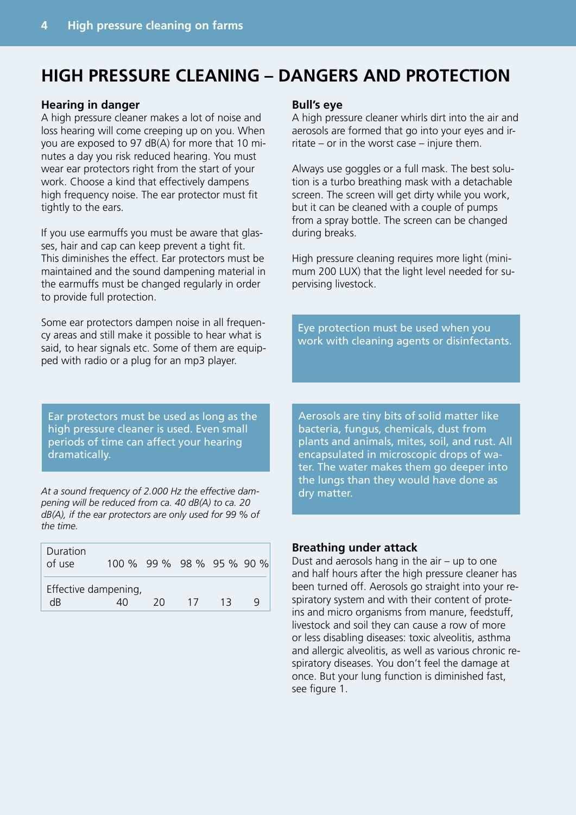### **High pressure cleaning – dangers and protection**

### **Hearing in danger**

A high pressure cleaner makes a lot of noise and loss hearing will come creeping up on you. When you are exposed to 97 dB(A) for more that 10 minutes a day you risk reduced hearing. You must wear ear protectors right from the start of your work. Choose a kind that effectively dampens high frequency noise. The ear protector must fit tightly to the ears.

If you use earmuffs you must be aware that glasses, hair and cap can keep prevent a tight fit. This diminishes the effect. Ear protectors must be maintained and the sound dampening material in the earmuffs must be changed regularly in order to provide full protection.

Some ear protectors dampen noise in all frequency areas and still make it possible to hear what is said, to hear signals etc. Some of them are equipped with radio or a plug for an mp3 player.

Ear protectors must be used as long as the high pressure cleaner is used. Even small periods of time can affect your hearing dramatically.

*At a sound frequency of 2.000 Hz the effective dampening will be reduced from ca. 40 dB(A) to ca. 20 dB(A), if the ear protectors are only used for 99 % of the time.*

| Duration<br>of use         | 100 % 99 % 98 % 95 % 90 % |    |    |    |   |
|----------------------------|---------------------------|----|----|----|---|
| Effective dampening,<br>dB |                           | 20 | 17 | 13 | Q |

#### **Bull's eye**

A high pressure cleaner whirls dirt into the air and aerosols are formed that go into your eyes and irritate – or in the worst case – injure them.

Always use goggles or a full mask. The best solution is a turbo breathing mask with a detachable screen. The screen will get dirty while you work, but it can be cleaned with a couple of pumps from a spray bottle. The screen can be changed during breaks.

High pressure cleaning requires more light (minimum 200 LUX) that the light level needed for supervising livestock.

Eye protection must be used when you work with cleaning agents or disinfectants.

Aerosols are tiny bits of solid matter like bacteria, fungus, chemicals, dust from plants and animals, mites, soil, and rust. All encapsulated in microscopic drops of water. The water makes them go deeper into the lungs than they would have done as dry matter.

#### **Breathing under attack**

Dust and aerosols hang in the air – up to one and half hours after the high pressure cleaner has been turned off. Aerosols go straight into your respiratory system and with their content of proteins and micro organisms from manure, feedstuff, livestock and soil they can cause a row of more or less disabling diseases: toxic alveolitis, asthma and allergic alveolitis, as well as various chronic respiratory diseases. You don't feel the damage at once. But your lung function is diminished fast, see figure 1.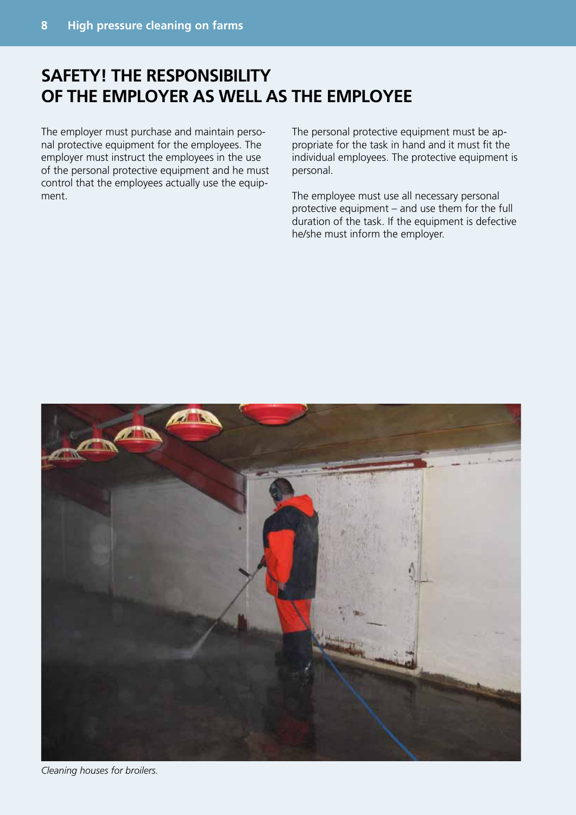## **Safety! the responsibility of the employer as well as the employee**

The employer must purchase and maintain personal protective equipment for the employees. The employer must instruct the employees in the use of the personal protective equipment and he must control that the employees actually use the equipment.

The personal protective equipment must be appropriate for the task in hand and it must fit the individual employees. The protective equipment is personal.

The employee must use all necessary personal protective equipment – and use them for the full duration of the task. If the equipment is defective he/she must inform the employer.



*Cleaning houses for broilers.*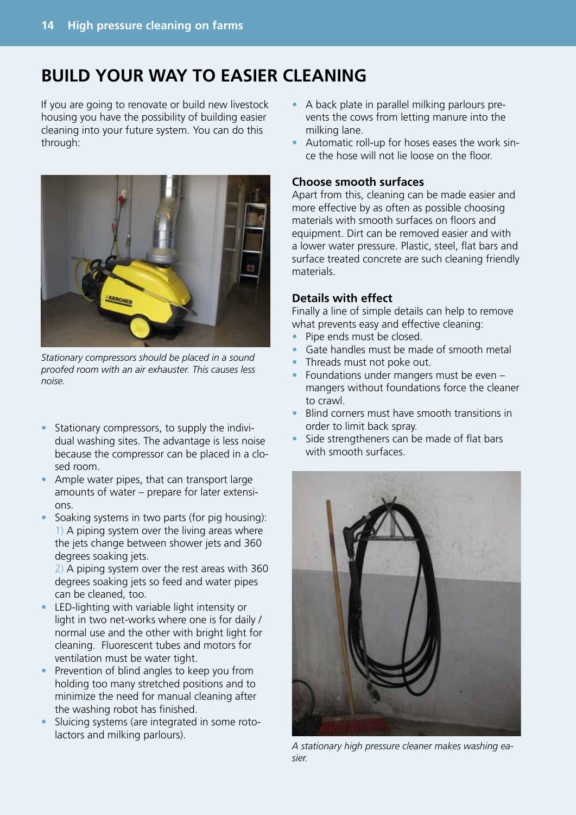# **BUILD your way to easier cleaning**

If you are going to renovate or build new livestock housing you have the possibility of building easier cleaning into your future system. You can do this through:



*Stationary compressors should be placed in a sound proofed room with an air exhauster. This causes less noise.* 

- Stationary compressors, to supply the individual washing sites. The advantage is less noise because the compressor can be placed in a closed room.
- Ample water pipes, that can transport large amounts of water – prepare for later extensions.
- Soaking systems in two parts (for pig housing): 1) A piping system over the living areas where the jets change between shower jets and 360 degrees soaking jets.

2) A piping system over the rest areas with 360 degrees soaking jets so feed and water pipes can be cleaned, too.

- LED-lighting with variable light intensity or light in two net-works where one is for daily / normal use and the other with bright light for cleaning. Fluorescent tubes and motors for ventilation must be water tight.
- Prevention of blind angles to keep you from holding too many stretched positions and to minimize the need for manual cleaning after the washing robot has finished.
- Sluicing systems (are integrated in some rotolactors and milking parlours).
- A back plate in parallel milking parlours prevents the cows from letting manure into the milking lane.
- Automatic roll-up for hoses eases the work since the hose will not lie loose on the floor.

### **Choose smooth surfaces**

Apart from this, cleaning can be made easier and more effective by as often as possible choosing materials with smooth surfaces on floors and equipment. Dirt can be removed easier and with a lower water pressure. Plastic, steel, flat bars and surface treated concrete are such cleaning friendly materials.

### **Details with effect**

Finally a line of simple details can help to remove what prevents easy and effective cleaning:

- Pipe ends must be closed.
- Gate handles must be made of smooth metal
- Threads must not poke out.
- Foundations under mangers must be even mangers without foundations force the cleaner to crawl.
- Blind corners must have smooth transitions in order to limit back spray.
- Side strengtheners can be made of flat bars with smooth surfaces.



*A stationary high pressure cleaner makes washing easier.*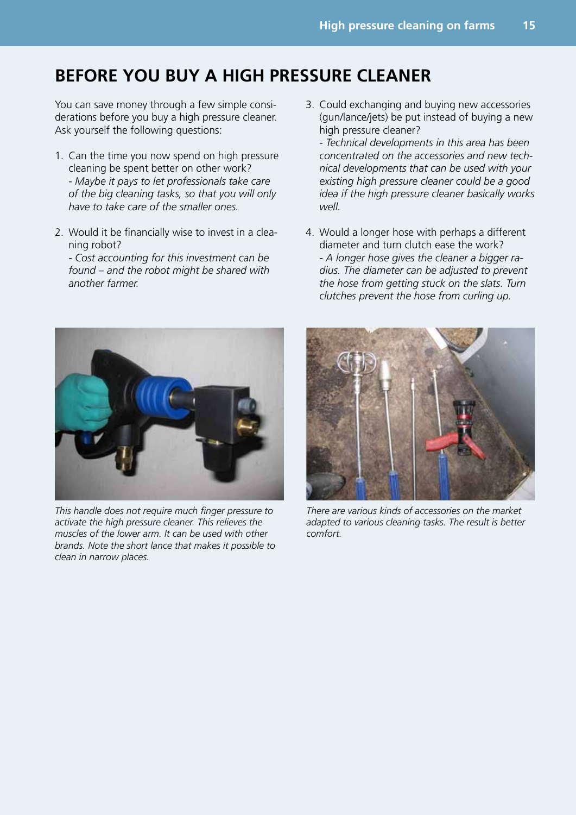## **Before you buy a high pressure cleaner**

You can save money through a few simple considerations before you buy a high pressure cleaner. Ask yourself the following questions:

- 1. Can the time you now spend on high pressure cleaning be spent better on other work? *- Maybe it pays to let professionals take care of the big cleaning tasks, so that you will only have to take care of the smaller ones.*
- 2. Would it be financially wise to invest in a cleaning robot?

*- Cost accounting for this investment can be found – and the robot might be shared with another farmer.*



*This handle does not require much finger pressure to activate the high pressure cleaner. This relieves the muscles of the lower arm. It can be used with other brands. Note the short lance that makes it possible to clean in narrow places.* 

3. Could exchanging and buying new accessories (gun/lance/jets) be put instead of buying a new high pressure cleaner?

*- Technical developments in this area has been concentrated on the accessories and new technical developments that can be used with your existing high pressure cleaner could be a good idea if the high pressure cleaner basically works well.*

4. Would a longer hose with perhaps a different diameter and turn clutch ease the work? *- A longer hose gives the cleaner a bigger radius. The diameter can be adjusted to prevent the hose from getting stuck on the slats. Turn clutches prevent the hose from curling up.*



*There are various kinds of accessories on the market adapted to various cleaning tasks. The result is better comfort.*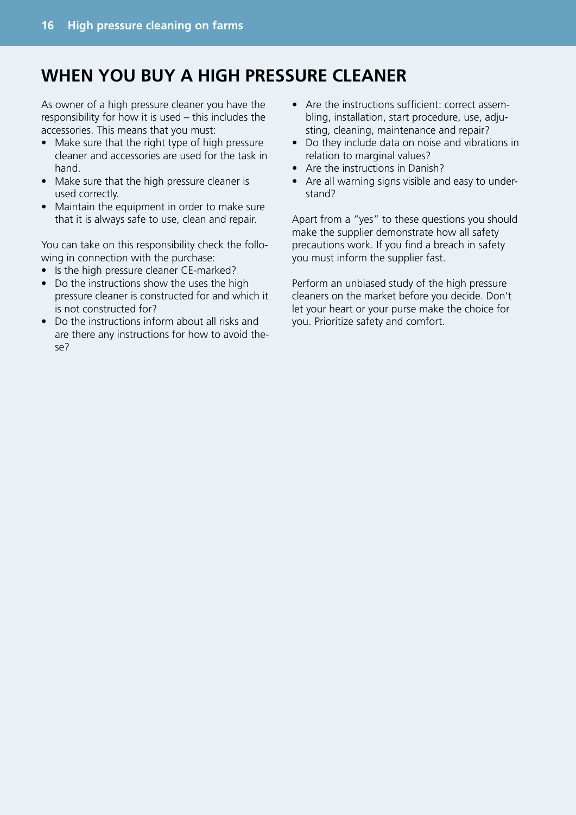# **When you buy a high pressure cleaner**

As owner of a high pressure cleaner you have the responsibility for how it is used – this includes the accessories. This means that you must:

- Make sure that the right type of high pressure cleaner and accessories are used for the task in hand.
- Make sure that the high pressure cleaner is used correctly.
- Maintain the equipment in order to make sure that it is always safe to use, clean and repair.

You can take on this responsibility check the following in connection with the purchase:

- Is the high pressure cleaner CE-marked?
- Do the instructions show the uses the high pressure cleaner is constructed for and which it is not constructed for?
- Do the instructions inform about all risks and are there any instructions for how to avoid these?
- Are the instructions sufficient: correct assembling, installation, start procedure, use, adjusting, cleaning, maintenance and repair?
- Do they include data on noise and vibrations in relation to marginal values?
- Are the instructions in Danish?
- Are all warning signs visible and easy to understand?

Apart from a "yes" to these questions you should make the supplier demonstrate how all safety precautions work. If you find a breach in safety you must inform the supplier fast.

Perform an unbiased study of the high pressure cleaners on the market before you decide. Don't let your heart or your purse make the choice for you. Prioritize safety and comfort.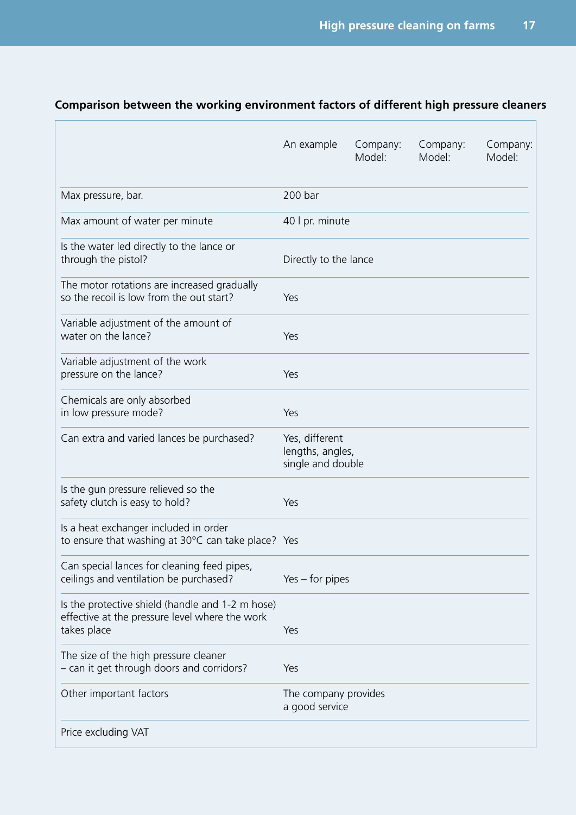### **Comparison between the working environment factors of different high pressure cleaners**

|                                                                                                                   | An example                                              | Company:<br>Model: | Company:<br>Model: | Company:<br>Model: |  |
|-------------------------------------------------------------------------------------------------------------------|---------------------------------------------------------|--------------------|--------------------|--------------------|--|
| Max pressure, bar.                                                                                                | 200 bar                                                 |                    |                    |                    |  |
| Max amount of water per minute                                                                                    | 40 l pr. minute                                         |                    |                    |                    |  |
| Is the water led directly to the lance or<br>through the pistol?                                                  | Directly to the lance                                   |                    |                    |                    |  |
| The motor rotations are increased gradually<br>so the recoil is low from the out start?                           | Yes                                                     |                    |                    |                    |  |
| Variable adjustment of the amount of<br>water on the lance?                                                       | Yes                                                     |                    |                    |                    |  |
| Variable adjustment of the work<br>pressure on the lance?                                                         | Yes                                                     |                    |                    |                    |  |
| Chemicals are only absorbed<br>in low pressure mode?                                                              | Yes                                                     |                    |                    |                    |  |
| Can extra and varied lances be purchased?                                                                         | Yes, different<br>lengths, angles,<br>single and double |                    |                    |                    |  |
| Is the gun pressure relieved so the<br>safety clutch is easy to hold?                                             | Yes                                                     |                    |                    |                    |  |
| Is a heat exchanger included in order<br>to ensure that washing at 30°C can take place? Yes                       |                                                         |                    |                    |                    |  |
| Can special lances for cleaning feed pipes,<br>ceilings and ventilation be purchased?                             | $Yes - for pipes$                                       |                    |                    |                    |  |
| Is the protective shield (handle and 1-2 m hose)<br>effective at the pressure level where the work<br>takes place | Yes                                                     |                    |                    |                    |  |
| The size of the high pressure cleaner<br>- can it get through doors and corridors?                                | Yes                                                     |                    |                    |                    |  |
| Other important factors                                                                                           | The company provides<br>a good service                  |                    |                    |                    |  |
| Price excluding VAT                                                                                               |                                                         |                    |                    |                    |  |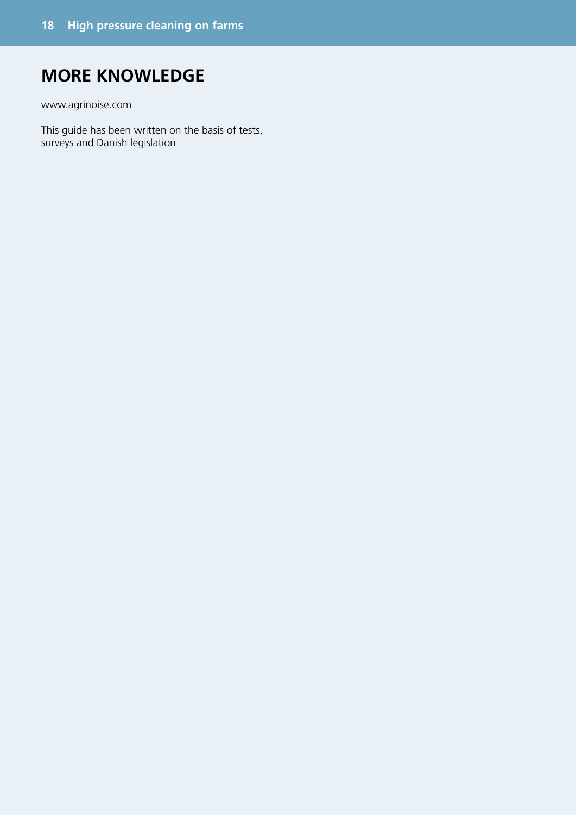## **More knowledge**

www.agrinoise.com

This guide has been written on the basis of tests, surveys and Danish legislation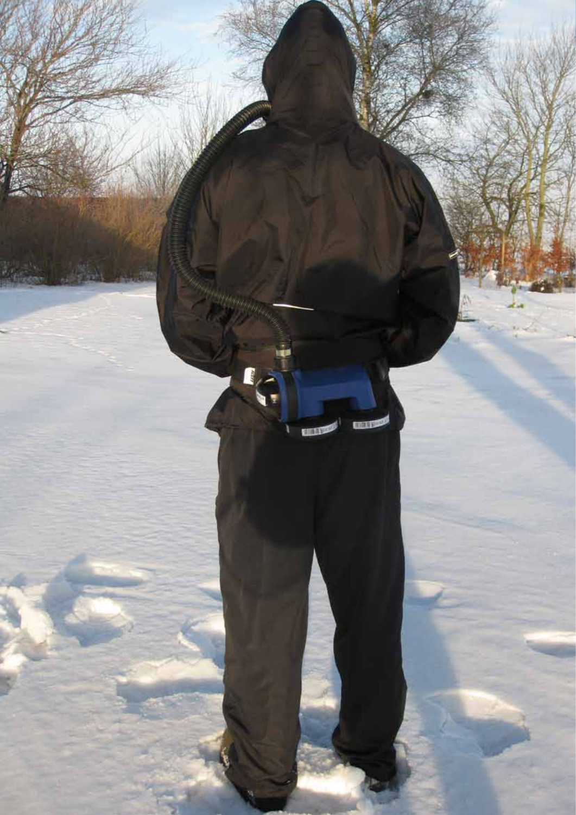